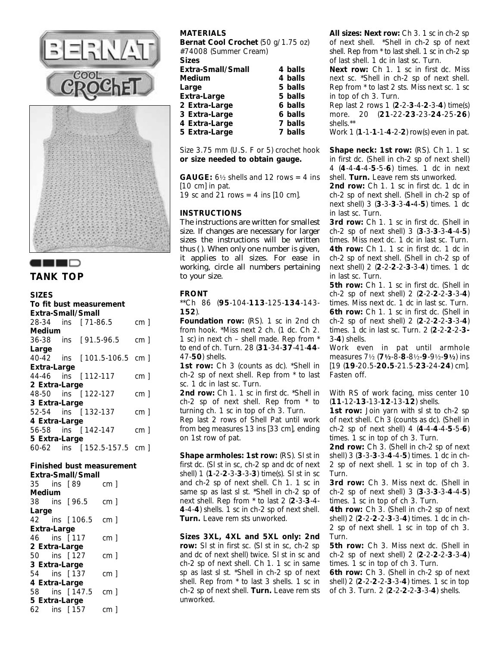





## **SIZES**

| To fit bust measurement  |  |                            |                 |  |  |  |  |
|--------------------------|--|----------------------------|-----------------|--|--|--|--|
| <b>Extra-Small/Small</b> |  |                            |                 |  |  |  |  |
|                          |  | 28-34 ins [71-86.5]        | cm <sub>1</sub> |  |  |  |  |
| Medium                   |  |                            |                 |  |  |  |  |
|                          |  | 36-38 ins [91.5-96.5 cm]   |                 |  |  |  |  |
| Large                    |  |                            |                 |  |  |  |  |
|                          |  | 40-42 ins [101.5-106.5 cm] |                 |  |  |  |  |

| <b>Extra-Large</b> |                            |                 |
|--------------------|----------------------------|-----------------|
|                    | 44-46 ins [112-117         | cm <sub>1</sub> |
| 2 Extra-Large      |                            |                 |
|                    | 48-50 ins [122-127]        | cm <sub>1</sub> |
| 3 Extra-Large      |                            |                 |
|                    | 52-54 ins [132-137]        | cm <sub>1</sub> |
| 4 Extra-Large      |                            |                 |
|                    | 56-58 ins [142-147]        | cm <sub>1</sub> |
| 5 Extra-Large      |                            |                 |
|                    | 60-62 ins [152.5-157.5 cm] |                 |

#### **Finished bust measurement Extra-Small/Small**

|                      |            | ехиа-эшан/эі   |                 |  |
|----------------------|------------|----------------|-----------------|--|
|                      | 35 ins [89 |                | cm <sub>1</sub> |  |
| Medium               |            |                |                 |  |
|                      |            | 38 ins [96.5]  | cm <sub>1</sub> |  |
| Large                |            |                |                 |  |
|                      |            | 42 ins [106.5  | cm <sub>1</sub> |  |
| Extra-Large          |            |                |                 |  |
|                      |            | 46 ins [117    | cm <sub>1</sub> |  |
| <b>2 Extra-Large</b> |            |                |                 |  |
|                      |            | 50 ins [127    | cm <sub>1</sub> |  |
| <b>3 Extra-Large</b> |            |                |                 |  |
|                      |            | 54 ins [137    | cm <sub>1</sub> |  |
| 4 Extra-Large        |            |                |                 |  |
|                      |            | 58 ins [147.5] | cm <sub>1</sub> |  |
| 5 Extra-Large        |            |                |                 |  |
|                      |            | 62 ins [157    | cm <sub>1</sub> |  |

# **MATERIALS**

**Bernat Cool Crochet** (50 g/1.75 oz) #74008 (Summer Cream)

**Sizes**

| Extra-Small/Small    | 4 balls |
|----------------------|---------|
| Medium               | 4 balls |
| Large                | 5 balls |
| Extra-Large          | 5 balls |
| 2 Extra-Large        | 6 balls |
| 3 Extra-Large        | 6 balls |
| <b>4 Extra-Large</b> | 7 balls |
| 5 Extra-Large        | 7 balls |

Size 3.75 mm (U.S. F or 5) crochet hook **or size needed to obtain gauge.** 

**GAUGE:**  $6\frac{1}{2}$  shells and 12 rows = 4 ins [10 cm] in pat.

19 sc and  $\overline{2}1$  rows = 4 ins [10 cm].

## **INSTRUCTIONS**

*The instructions are written for smallest size. If changes are necessary for larger sizes the instructions will be written thus ( ). When only one number is given, it applies to all sizes. For ease in working, circle all numbers pertaining to your size.*

## **FRONT**

\*\*Ch 86 (**95**-104-**113**-125-**134**-143- **152**).

**Foundation row:** (RS). 1 sc in 2nd ch from hook. \*Miss next 2 ch. (1 dc. Ch 2. 1 sc) in next ch – shell made. Rep from \* to end of ch. Turn. 28 (**31**-34-**37**-41-**44**- 47-**50**) shells.

**1st row:** Ch 3 (counts as dc). \*Shell in ch-2 sp of next shell. Rep from \* to last sc. 1 dc in last sc. Turn.

2nd row: Ch 1. 1 sc in first dc. \*Shell in ch-2 sp of next shell. Rep from \* to turning ch. 1 sc in top of ch 3. Turn.

Rep last 2 rows of Shell Pat until work from beg measures 13 ins [33 cm], ending on 1st row of pat.

**Shape armholes: 1st row:** (RS). Sl st in first dc. (Sl st in sc, ch-2 sp and dc of next shell) 1 (**1**-2-**2**-3-**3**-3-**3**) time(s). Sl st in sc and ch-2 sp of next shell. Ch 1. 1 sc in same sp as last sl st. \*Shell in ch-2 sp of next shell. Rep from \* to last 2 (**2**-3-**3**-4- **4**-4-**4**) shells. 1 sc in ch-2 sp of next shell. **Turn.** Leave rem sts unworked.

**Sizes 3XL, 4XL and 5XL only: 2nd row:** Sl st in first sc. (Sl st in sc, ch-2 sp and dc of next shell) twice. Sl st in sc and ch-2 sp of next shell. Ch 1. 1 sc in same sp as last sl st. \*Shell in ch-2 sp of next shell. Rep from \* to last 3 shells. 1 sc in ch-2 sp of next shell. **Turn.** Leave rem sts unworked.

**All sizes: Next row:** Ch 3. 1 sc in ch-2 sp of next shell. \*Shell in ch-2 sp of next shell. Rep from \* to last shell. 1 sc in ch-2 sp of last shell. 1 dc in last sc. Turn.

**Next row:** Ch 1. 1 sc in first dc. Miss next sc. \*Shell in ch-2 sp of next shell. Rep from \* to last 2 sts. Miss next sc. 1 sc in top of ch 3. Turn.

Rep last 2 rows 1 (**2**-2-**3**-4-**2**-3-**4**) time(s) more. 20 (**21**-22-**23**-23-**24**-25-**26**) shells.\*\*

Work 1 (**1**-1-**1**-1-**4**-2-**2**) row(s) even in pat.

**Shape neck: 1st row:** (RS). Ch 1. 1 sc in first dc. (Shell in ch-2 sp of next shell) 4 (**4**-4-**4**-4-**5**-5-**6**) times. 1 dc in next shell. **Turn.** Leave rem sts unworked.

2nd row: Ch 1. 1 sc in first dc. 1 dc in ch-2 sp of next shell. (Shell in ch-2 sp of next shell) 3 (**3**-3-**3**-3-**4-**4-**5**) times. 1 dc in last sc. Turn.

**3rd row:** Ch 1. 1 sc in first dc. (Shell in ch-2 sp of next shell) 3 (**3**-3-**3**-3-**4**-4-**5**) times. Miss next dc. 1 dc in last sc. Turn. **4th row:** Ch 1. 1 sc in first dc. 1 dc in ch-2 sp of next shell. (Shell in ch-2 sp of next shell) 2 (**2**-2-**2**-2-**3**-3-**4**) times. 1 dc in last sc. Turn.

**5th row:** Ch 1. 1 sc in first dc. (Shell in ch-2 sp of next shell) 2 (**2**-2-**2**-2-**3**-3-**4**) times. Miss next dc. 1 dc in last sc. Turn. **6th row:** Ch 1. 1 sc in first dc. (Shell in ch-2 sp of next shell) 2 (**2**-2-**2**-2-**3**-3-**4**) times. 1 dc in last sc. Turn. 2 (**2**-2-**2**-2-**3-** 3-**4**) shells.

Work even in pat until armhole measures 7½ (**7½**-8-**8**-8½-**9**-9½-**9½**) ins [19 (**19**-20.5-**20.5**-21.5-**23**-24-**24**) cm]. Fasten off.

With RS of work facing, miss center 10 (**11**-12-**13**-13-**12**-13-**12**) shells.

**1st row:** Join yarn with sl st to ch-2 sp of next shell. Ch 3 (counts as dc). (Shell in ch-2 sp of next shell) 4 (**4**-4-**4**-4-**5**-5-**6**) times. 1 sc in top of ch 3. Turn.

**2nd row:** Ch 3. (Shell in ch-2 sp of next shell) 3 (**3**-3-**3**-3-**4**-4-**5**) times. 1 dc in ch-2 sp of next shell. 1 sc in top of ch 3. Turn.

3rd row: Ch 3. Miss next dc. (Shell in ch-2 sp of next shell) 3 (**3**-3-**3**-3-**4**-4-**5**) times. 1 sc in top of ch 3. Turn.

**4th row:** Ch 3. (Shell in ch-2 sp of next shell) 2 (**2**-2-**2**-2-**3**-3-**4**) times. 1 dc in ch-2 sp of next shell. 1 sc in top of ch 3. Turn.

**5th row:** Ch 3. Miss next dc. (Shell in ch-2 sp of next shell) 2 (**2**-2-**2**-2-**3**-3-**4**) times. 1 sc in top of ch 3. Turn.

**6th row:** Ch 3. (Shell in ch-2 sp of next shell) 2 (**2**-2-**2**-2-**3**-3-**4**) times. 1 sc in top of ch 3. Turn. 2 (**2**-2-**2**-2-**3**-3-**4**) shells.